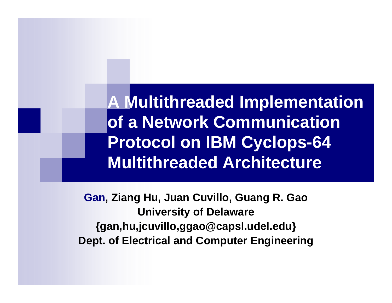**A Multithreaded Implementation of a Network Communication Protocol on IBM Cyclops-64 Multithreaded Architecture**

**Gan, Ziang Hu, Juan Cuvillo, Guang R. Gao University of Delaware {gan,hu,jcuvillo,ggao@capsl.udel.edu} Dept. of Electrical and Computer Engineering**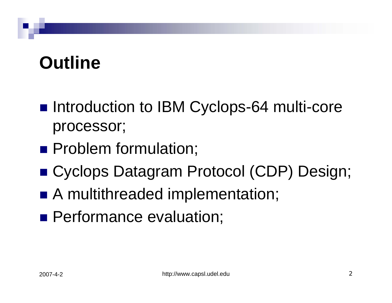## **Outline**

- Introduction to IBM Cyclops-64 multi-core processor;
- **Problem formulation;**
- Cyclops Datagram Protocol (CDP) Design;
- A multithreaded implementation;
- **Performance evaluation;**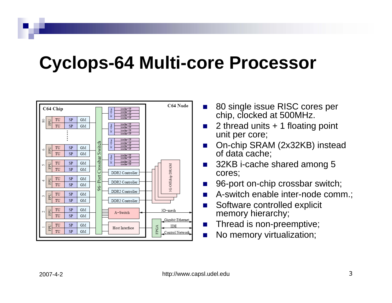#### **Cyclops-64 Multi-core Processor**



- П 80 single issue RISC cores per chip, clocked at 500MHz.
- П 2 thread units + 1 floating point unit per core;
- $\mathcal{L}_{\rm{max}}$  On-chip SRAM (2x32KB) instead of data cache;
- P. 32KB i-cache shared among 5 cores;
- П 96-port on-chip crossbar switch;
- $\sim$ A-switch enable inter-node comm.;
- $\sim$  Software controlled explicit memory hierarchy;
- П Thread is non-preemptive;
- П No memory virtualization;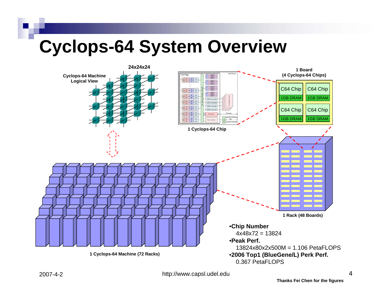#### **Cyclops-64 System Overview**



http://www.capsl.udel.edu 4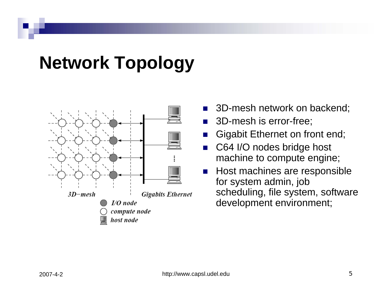## **Network Topology**



- F. 3D-mesh network on backend;
- T. 3D-mesh is error-free;
- L. Gigabit Ethernet on front end;
- $\mathcal{L}^{\mathcal{L}}$  C64 I/O nodes bridge host machine to compute engine;
- T. Host machines are responsible for system admin, job scheduling, file system, software development environment;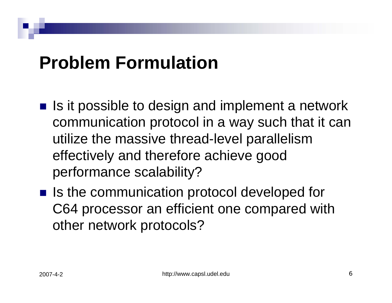#### **Problem Formulation**

- $\blacksquare$  Is it possible to design and implement a network communication protocol in a way such that it can utilize the massive thread-level parallelism effectively and therefore achieve good performance scalability?
- Is the communication protocol developed for C64 processor an efficient one compared with other network protocols?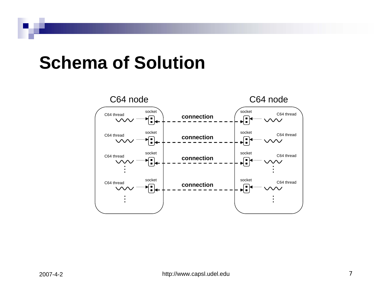#### **Schema of Solution**

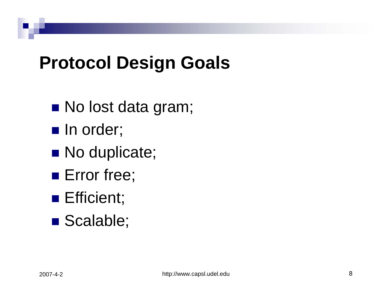## **Protocol Design Goals**

- No lost data gram;
- $\blacksquare$  In order;
- No duplicate;
- **Error free**;
- **Efficient**;
- Scalable;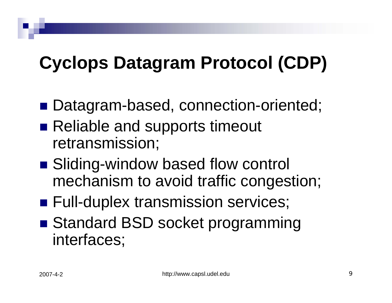## **Cyclops Datagram Protocol (CDP)**

- Datagram-based, connection-oriented;
- Reliable and supports timeout retransmission;
- Sliding-window based flow control mechanism to avoid traffic congestion;
- **Full-duplex transmission services;**
- Standard BSD socket programming interfaces;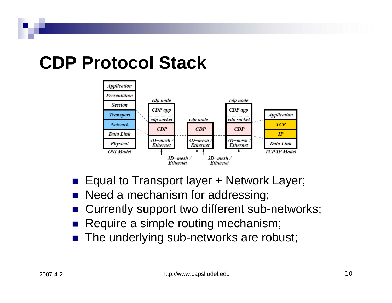## **CDP Protocol Stack**



- Equal to Transport layer + Network Layer;
- **Need a mechanism for addressing;**
- Currently support two different sub-networks;
- Require a simple routing mechanism;
- The underlying sub-networks are robust;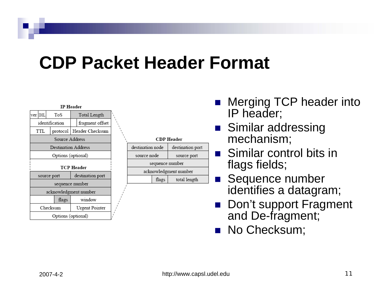#### **CDP Packet Header Format**

| <b>IP Header</b>           |                |                    |  |
|----------------------------|----------------|--------------------|--|
| ver IHL                    | ToS            | Total Length       |  |
| identification             |                | fragment offset    |  |
| TTL                        | protocol       | Header Checksum    |  |
|                            | Source Address |                    |  |
| <b>Destination Address</b> |                |                    |  |
| Options (optional)         |                |                    |  |
|                            |                | <b>TCP Header</b>  |  |
| source port                |                | destination port   |  |
| sequence number            |                |                    |  |
| acknowledgment number      |                |                    |  |
|                            | flags          | window             |  |
| Checksum                   |                | Urgent Pointer     |  |
|                            |                | Options (optional) |  |

| <b>CDP</b> Header     |       |                  |  |
|-----------------------|-------|------------------|--|
| destination node      |       | destination port |  |
| source node           |       | source port      |  |
| sequence number       |       |                  |  |
| acknowledgment number |       |                  |  |
|                       | flags | total length     |  |
|                       |       |                  |  |

- Merging TCP header into IP header;
- Similar addressing mechanism;
- **Similar control bits in** flags fields;
- Sequence number identifies a datagram;
- Don't support Fragment and De-fragment;
- **No Checksum;**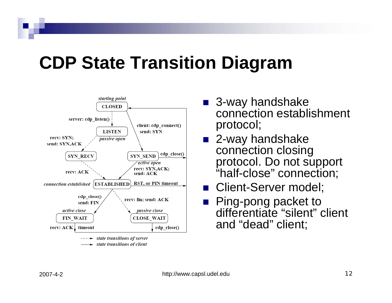## **CDP State Transition Diagram**



state transitions of client

- 3-way handshake connection establishment protocol;
- 2-way handshake connection closing protocol. Do not support "half-close" connection;
- Client-Server model;
- **Ping-pong packet to** differentiate "silent" client and "dead" client;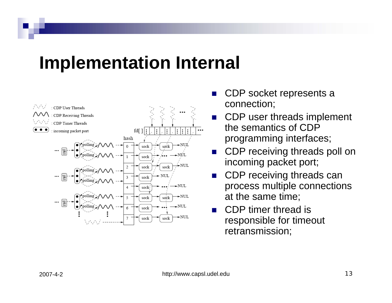#### **Implementation Internal**



- F. CDP socket represents a connection;
- F. CDP user threads implement the semantics of CDP programming interfaces;
- L. CDP receiving threads poll on incoming packet port;
- L. CDP receiving threads can process multiple connections at the same time;
- T. CDP timer thread is responsible for timeout retransmission;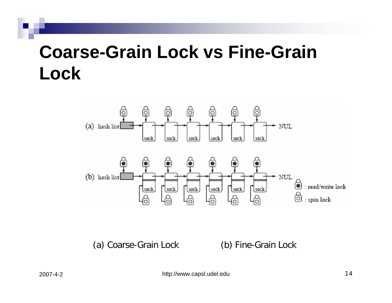## **Coarse-Grain Lock vs Fine-Grain Lock**



(a) Coarse-Grain Lock (b) Fine-Grain Lock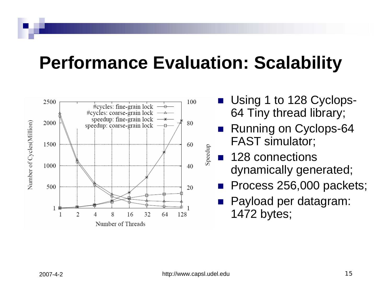#### **Performance Evaluation: Scalability**



- **Using 1 to 128 Cyclops-**64 Tiny thread library;
- $\mathcal{L}(\mathcal{A})$  Running on Cyclops-64 FAST simulator;
- p. 128 connections dynamically generated;
- $\mathcal{L}(\mathcal{A})$ Process 256,000 packets;
- $\mathbb{R}^2$  Payload per datagram: 1472 bytes;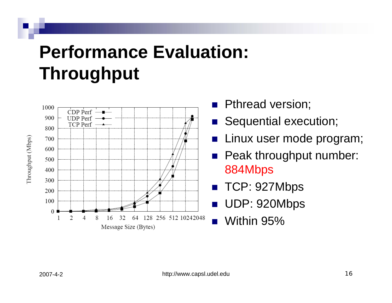## **Performance Evaluation: Throughput**



- **Pthread version;**
- **Sequential execution;**
- $\mathbb{R}^2$ Linux user mode program;
- **Peak throughput number:** 884Mbps
- $\mathbb{R}^2$ TCP: 927Mbps
- UDP: 920Mbps
- $\mathbb{R}^2$ Within 95%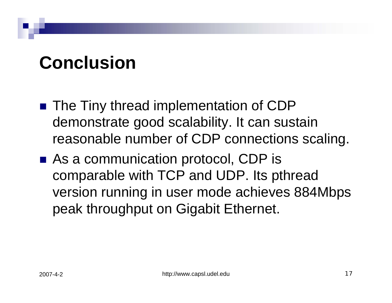## **Conclusion**

- The Tiny thread implementation of CDP demonstrate good scalability. It can sustain reasonable number of CDP connections scaling.
- As a communication protocol, CDP is comparable with TCP and UDP. Its pthread version running in user mode achieves 884Mbps peak throughput on Gigabit Ethernet.